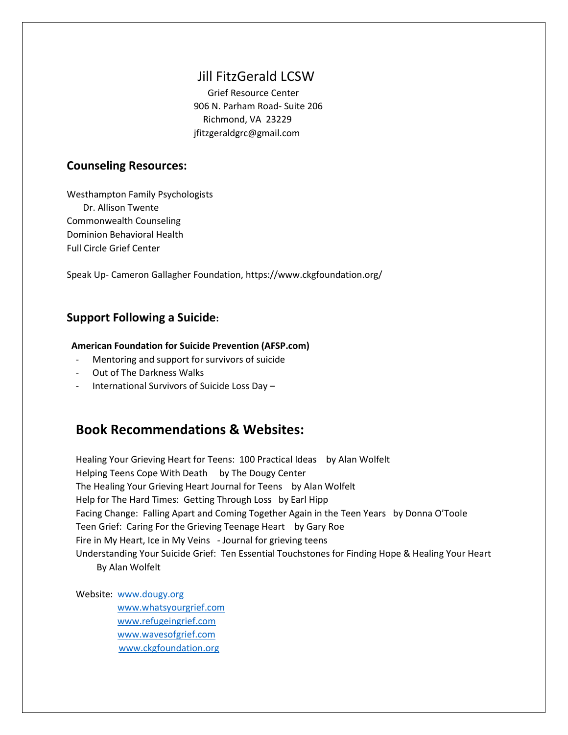# Jill FitzGerald LCSW

 Grief Resource Center 906 N. Parham Road- Suite 206 Richmond, VA 23229 jfitzgeraldgrc@gmail.com

### **Counseling Resources:**

Westhampton Family Psychologists Dr. Allison Twente Commonwealth Counseling Dominion Behavioral Health Full Circle Grief Center

Speak Up- Cameron Gallagher Foundation, https://www.ckgfoundation.org/

## **Support Following a Suicide:**

#### **American Foundation for Suicide Prevention (AFSP.com)**

- Mentoring and support for survivors of suicide
- Out of The Darkness Walks
- International Survivors of Suicide Loss Day –

# **Book Recommendations & Websites:**

Healing Your Grieving Heart for Teens: 100 Practical Ideas by Alan Wolfelt Helping Teens Cope With Death by The Dougy Center The Healing Your Grieving Heart Journal for Teens by Alan Wolfelt Help for The Hard Times: Getting Through Loss by Earl Hipp Facing Change: Falling Apart and Coming Together Again in the Teen Years by Donna O'Toole Teen Grief: Caring For the Grieving Teenage Heart by Gary Roe Fire in My Heart, Ice in My Veins - Journal for grieving teens Understanding Your Suicide Grief: Ten Essential Touchstones for Finding Hope & Healing Your Heart

By Alan Wolfelt

Website: [www.dougy.org](http://www.dougy.org/) [www.whatsyourgrief.com](http://www.whatsyourgrief.com/) [www.refugeingrief.com](http://www.refugeingrief.com/) [www.wavesofgrief.com](http://www.wavesofgrief.com/) [www.ckgfoundation.org](http://www.ckgfoundation.org/)